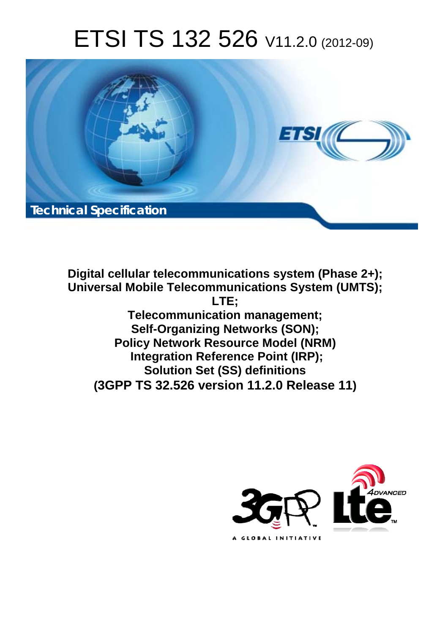# ETSI TS 132 526 V11.2.0 (2012-09)



**Digital cellular telecommunications system (Phase 2+); Universal Mobile Telecommunications System (UMTS); LTE; Telecommunication management; Self-Organizing Networks (SON); Policy Network Resource Model (NRM) Integration Reference Point (IRP); Solution Set (SS) definitions (3GPP TS 32.526 version 11.2.0 Release 11)**

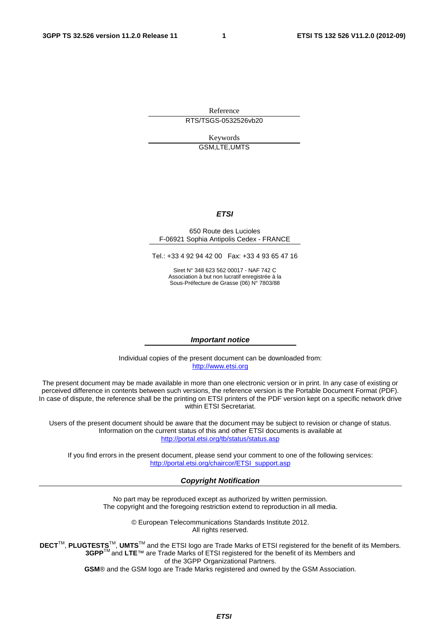Reference RTS/TSGS-0532526vb20

> Keywords GSM,LTE,UMTS

#### *ETSI*

#### 650 Route des Lucioles F-06921 Sophia Antipolis Cedex - FRANCE

Tel.: +33 4 92 94 42 00 Fax: +33 4 93 65 47 16

Siret N° 348 623 562 00017 - NAF 742 C Association à but non lucratif enregistrée à la Sous-Préfecture de Grasse (06) N° 7803/88

#### *Important notice*

Individual copies of the present document can be downloaded from: [http://www.etsi.org](http://www.etsi.org/)

The present document may be made available in more than one electronic version or in print. In any case of existing or perceived difference in contents between such versions, the reference version is the Portable Document Format (PDF). In case of dispute, the reference shall be the printing on ETSI printers of the PDF version kept on a specific network drive within ETSI Secretariat.

Users of the present document should be aware that the document may be subject to revision or change of status. Information on the current status of this and other ETSI documents is available at <http://portal.etsi.org/tb/status/status.asp>

If you find errors in the present document, please send your comment to one of the following services: [http://portal.etsi.org/chaircor/ETSI\\_support.asp](http://portal.etsi.org/chaircor/ETSI_support.asp)

#### *Copyright Notification*

No part may be reproduced except as authorized by written permission. The copyright and the foregoing restriction extend to reproduction in all media.

> © European Telecommunications Standards Institute 2012. All rights reserved.

DECT<sup>™</sup>, PLUGTESTS<sup>™</sup>, UMTS<sup>™</sup> and the ETSI logo are Trade Marks of ETSI registered for the benefit of its Members. **3GPP**TM and **LTE**™ are Trade Marks of ETSI registered for the benefit of its Members and of the 3GPP Organizational Partners.

**GSM**® and the GSM logo are Trade Marks registered and owned by the GSM Association.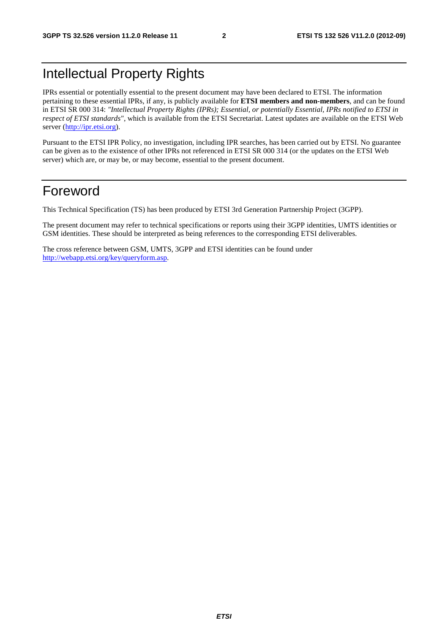### Intellectual Property Rights

IPRs essential or potentially essential to the present document may have been declared to ETSI. The information pertaining to these essential IPRs, if any, is publicly available for **ETSI members and non-members**, and can be found in ETSI SR 000 314: *"Intellectual Property Rights (IPRs); Essential, or potentially Essential, IPRs notified to ETSI in respect of ETSI standards"*, which is available from the ETSI Secretariat. Latest updates are available on the ETSI Web server [\(http://ipr.etsi.org](http://webapp.etsi.org/IPR/home.asp)).

Pursuant to the ETSI IPR Policy, no investigation, including IPR searches, has been carried out by ETSI. No guarantee can be given as to the existence of other IPRs not referenced in ETSI SR 000 314 (or the updates on the ETSI Web server) which are, or may be, or may become, essential to the present document.

### Foreword

This Technical Specification (TS) has been produced by ETSI 3rd Generation Partnership Project (3GPP).

The present document may refer to technical specifications or reports using their 3GPP identities, UMTS identities or GSM identities. These should be interpreted as being references to the corresponding ETSI deliverables.

The cross reference between GSM, UMTS, 3GPP and ETSI identities can be found under [http://webapp.etsi.org/key/queryform.asp.](http://webapp.etsi.org/key/queryform.asp)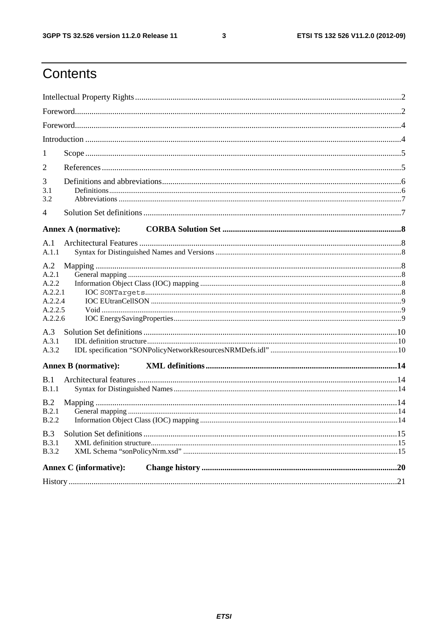$\mathbf{3}$ 

# Contents

| 1                                                                 |  |
|-------------------------------------------------------------------|--|
| 2                                                                 |  |
| 3<br>3.1<br>3.2                                                   |  |
| $\overline{4}$                                                    |  |
| <b>Annex A (normative):</b>                                       |  |
| A.1<br>A.1.1                                                      |  |
| A.2<br>A.2.1<br>A.2.2<br>A.2.2.1<br>A.2.2.4<br>A.2.2.5<br>A.2.2.6 |  |
| A.3<br>A.3.1<br>A.3.2                                             |  |
| <b>Annex B</b> (normative):                                       |  |
| B.1<br>B.1.1                                                      |  |
| B.2<br><b>B.2.1</b><br><b>B.2.2</b>                               |  |
| B.3<br><b>B.3.1</b><br><b>B.3.2</b>                               |  |
| <b>Annex C</b> (informative):                                     |  |
|                                                                   |  |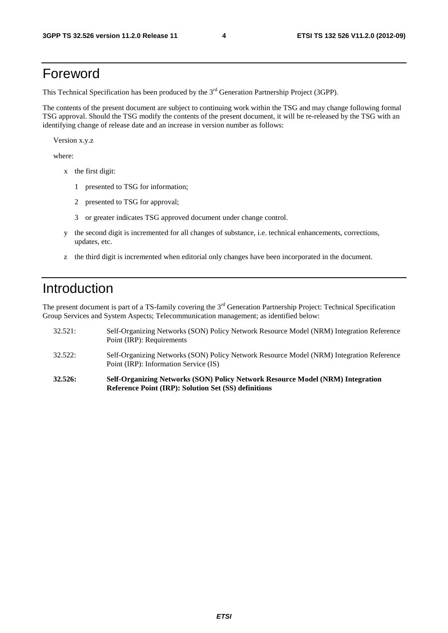### Foreword

This Technical Specification has been produced by the 3<sup>rd</sup> Generation Partnership Project (3GPP).

The contents of the present document are subject to continuing work within the TSG and may change following formal TSG approval. Should the TSG modify the contents of the present document, it will be re-released by the TSG with an identifying change of release date and an increase in version number as follows:

Version x.y.z

where:

- x the first digit:
	- 1 presented to TSG for information;
	- 2 presented to TSG for approval;
	- 3 or greater indicates TSG approved document under change control.
- y the second digit is incremented for all changes of substance, i.e. technical enhancements, corrections, updates, etc.
- z the third digit is incremented when editorial only changes have been incorporated in the document.

### Introduction

The present document is part of a TS-family covering the 3<sup>rd</sup> Generation Partnership Project: Technical Specification Group Services and System Aspects; Telecommunication management; as identified below:

| 32.521: | Self-Organizing Networks (SON) Policy Network Resource Model (NRM) Integration Reference<br>Point (IRP): Requirements             |
|---------|-----------------------------------------------------------------------------------------------------------------------------------|
| 32.522: | Self-Organizing Networks (SON) Policy Network Resource Model (NRM) Integration Reference<br>Point (IRP): Information Service (IS) |
|         |                                                                                                                                   |

**32.526: Self-Organizing Networks (SON) Policy Network Resource Model (NRM) Integration Reference Point (IRP): Solution Set (SS) definitions**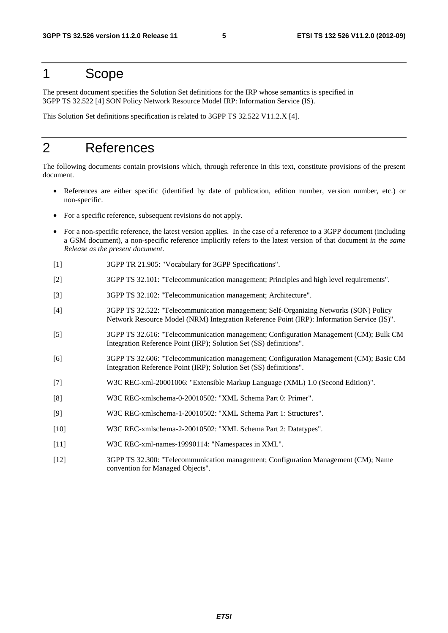### 1 Scope

The present document specifies the Solution Set definitions for the IRP whose semantics is specified in 3GPP TS 32.522 [4] SON Policy Network Resource Model IRP: Information Service (IS).

This Solution Set definitions specification is related to 3GPP TS 32.522 V11.2.X [4].

### 2 References

The following documents contain provisions which, through reference in this text, constitute provisions of the present document.

- References are either specific (identified by date of publication, edition number, version number, etc.) or non-specific.
- For a specific reference, subsequent revisions do not apply.
- For a non-specific reference, the latest version applies. In the case of a reference to a 3GPP document (including a GSM document), a non-specific reference implicitly refers to the latest version of that document *in the same Release as the present document*.
- [1] 3GPP TR 21.905: "Vocabulary for 3GPP Specifications".
- [2] 3GPP TS 32.101: "Telecommunication management; Principles and high level requirements".
- [3] 3GPP TS 32.102: "Telecommunication management; Architecture".
- [4] 3GPP TS 32.522: "Telecommunication management; Self-Organizing Networks (SON) Policy Network Resource Model (NRM) Integration Reference Point (IRP): Information Service (IS)".
- [5] 3GPP TS 32.616: "Telecommunication management; Configuration Management (CM); Bulk CM Integration Reference Point (IRP); Solution Set (SS) definitions".
- [6] 3GPP TS 32.606: "Telecommunication management; Configuration Management (CM); Basic CM Integration Reference Point (IRP); Solution Set (SS) definitions".
- [7] W3C REC-xml-20001006: "Extensible Markup Language (XML) 1.0 (Second Edition)".
- [8] W3C REC-xmlschema-0-20010502: "XML Schema Part 0: Primer".
- [9] W3C REC-xmlschema-1-20010502: "XML Schema Part 1: Structures".
- [10] W3C REC-xmlschema-2-20010502: "XML Schema Part 2: Datatypes".
- [11] W3C REC-xml-names-19990114: "Namespaces in XML".
- [12] 3GPP TS 32.300: "Telecommunication management; Configuration Management (CM); Name convention for Managed Objects".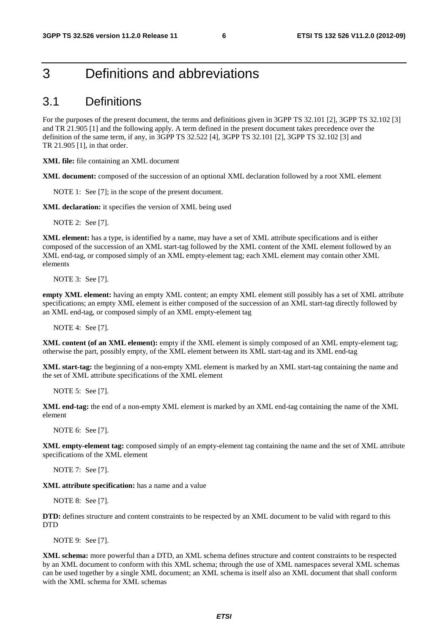### 3 Definitions and abbreviations

#### 3.1 Definitions

For the purposes of the present document, the terms and definitions given in 3GPP TS 32.101 [2], 3GPP TS 32.102 [3] and TR 21.905 [1] and the following apply. A term defined in the present document takes precedence over the definition of the same term, if any, in 3GPP TS 32.522 [4], 3GPP TS 32.101 [2], 3GPP TS 32.102 [3] and TR 21.905 [1], in that order.

**XML file:** file containing an XML document

**XML document:** composed of the succession of an optional XML declaration followed by a root XML element

NOTE 1: See [7]; in the scope of the present document.

**XML declaration:** it specifies the version of XML being used

NOTE 2: See [7].

**XML element:** has a type, is identified by a name, may have a set of XML attribute specifications and is either composed of the succession of an XML start-tag followed by the XML content of the XML element followed by an XML end-tag, or composed simply of an XML empty-element tag; each XML element may contain other XML elements

NOTE 3: See [7].

**empty XML element:** having an empty XML content; an empty XML element still possibly has a set of XML attribute specifications; an empty XML element is either composed of the succession of an XML start-tag directly followed by an XML end-tag, or composed simply of an XML empty-element tag

NOTE 4: See [7].

**XML content (of an XML element):** empty if the XML element is simply composed of an XML empty-element tag; otherwise the part, possibly empty, of the XML element between its XML start-tag and its XML end-tag

**XML start-tag:** the beginning of a non-empty XML element is marked by an XML start-tag containing the name and the set of XML attribute specifications of the XML element

NOTE 5: See [7].

**XML end-tag:** the end of a non-empty XML element is marked by an XML end-tag containing the name of the XML element

NOTE 6: See [7].

**XML empty-element tag:** composed simply of an empty-element tag containing the name and the set of XML attribute specifications of the XML element

NOTE 7: See [7].

**XML attribute specification:** has a name and a value

NOTE 8: See [7].

**DTD:** defines structure and content constraints to be respected by an XML document to be valid with regard to this DTD

NOTE 9: See [7].

**XML schema:** more powerful than a DTD, an XML schema defines structure and content constraints to be respected by an XML document to conform with this XML schema; through the use of XML namespaces several XML schemas can be used together by a single XML document; an XML schema is itself also an XML document that shall conform with the XML schema for XML schemas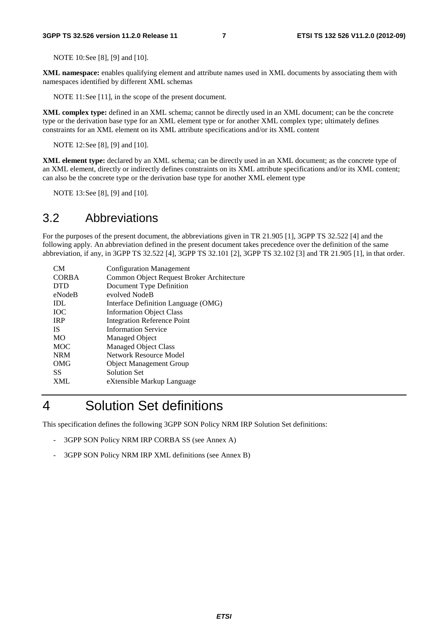NOTE 10: See [8], [9] and [10].

**XML namespace:** enables qualifying element and attribute names used in XML documents by associating them with namespaces identified by different XML schemas

NOTE 11: See [11], in the scope of the present document.

**XML complex type:** defined in an XML schema; cannot be directly used in an XML document; can be the concrete type or the derivation base type for an XML element type or for another XML complex type; ultimately defines constraints for an XML element on its XML attribute specifications and/or its XML content

NOTE 12: See [8], [9] and [10].

**XML element type:** declared by an XML schema; can be directly used in an XML document; as the concrete type of an XML element, directly or indirectly defines constraints on its XML attribute specifications and/or its XML content; can also be the concrete type or the derivation base type for another XML element type

NOTE 13: See [8], [9] and [10].

#### 3.2 Abbreviations

For the purposes of the present document, the abbreviations given in TR 21.905 [1], 3GPP TS 32.522 [4] and the following apply. An abbreviation defined in the present document takes precedence over the definition of the same abbreviation, if any, in 3GPP TS 32.522 [4], 3GPP TS 32.101 [2], 3GPP TS 32.102 [3] and TR 21.905 [1], in that order.

| CM           | <b>Configuration Management</b>           |
|--------------|-------------------------------------------|
| <b>CORBA</b> | Common Object Request Broker Architecture |
| <b>DTD</b>   | Document Type Definition                  |
| eNodeB       | evolved NodeB                             |
| <b>IDL</b>   | Interface Definition Language (OMG)       |
| <b>TOC</b>   | <b>Information Object Class</b>           |
| <b>IRP</b>   | <b>Integration Reference Point</b>        |
| <b>IS</b>    | <b>Information Service</b>                |
| <b>MO</b>    | <b>Managed Object</b>                     |
| <b>MOC</b>   | <b>Managed Object Class</b>               |
| <b>NRM</b>   | Network Resource Model                    |
| OMG          | <b>Object Management Group</b>            |
| SS           | <b>Solution Set</b>                       |
| <b>XML</b>   | eXtensible Markup Language                |
|              |                                           |

### 4 Solution Set definitions

This specification defines the following 3GPP SON Policy NRM IRP Solution Set definitions:

- 3GPP SON Policy NRM IRP CORBA SS (see Annex A)
- 3GPP SON Policy NRM IRP XML definitions (see Annex B)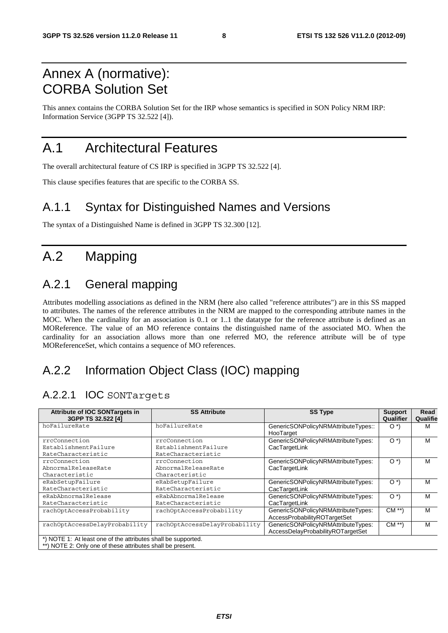### Annex A (normative): CORBA Solution Set

This annex contains the CORBA Solution Set for the IRP whose semantics is specified in SON Policy NRM IRP: Information Service (3GPP TS 32.522 [4]).

### A.1 Architectural Features

The overall architectural feature of CS IRP is specified in 3GPP TS 32.522 [4].

This clause specifies features that are specific to the CORBA SS.

### A.1.1 Syntax for Distinguished Names and Versions

The syntax of a Distinguished Name is defined in 3GPP TS 32.300 [12].

### A.2 Mapping

### A.2.1 General mapping

Attributes modelling associations as defined in the NRM (here also called "reference attributes") are in this SS mapped to attributes. The names of the reference attributes in the NRM are mapped to the corresponding attribute names in the MOC. When the cardinality for an association is 0..1 or 1..1 the datatype for the reference attribute is defined as an MOReference. The value of an MO reference contains the distinguished name of the associated MO. When the cardinality for an association allows more than one referred MO, the reference attribute will be of type MOReferenceSet, which contains a sequence of MO references.

### A.2.2 Information Object Class (IOC) mapping

#### A.2.2.1 IOC SONTargets

| Attribute of IOC SONTargets in<br>3GPP TS 32.522 [4]        | <b>SS Attribute</b>                                         | <b>SS Type</b>                                                          | Support<br>Qualifier | Read<br>Qualifie |  |  |
|-------------------------------------------------------------|-------------------------------------------------------------|-------------------------------------------------------------------------|----------------------|------------------|--|--|
| hoFailureRate                                               | hoFailureRate                                               | GenericSONPolicyNRMAttributeTypes::<br>HooTarget                        | $O^*$                | м                |  |  |
| rrcConnection<br>EstablishmentFailure<br>RateCharacteristic | rrcConnection<br>EstablishmentFailure<br>RateCharacteristic | GenericSONPolicyNRMAttributeTypes:<br>CacTargetLink                     | $O^*$                | M                |  |  |
| rrcConnection<br>AbnormalReleaseRate<br>Characteristic      | rrcConnection<br>AbnormalReleaseRate<br>Characteristic      | GenericSONPolicyNRMAttributeTypes:<br>CacTargetLink                     | $O^*$                | M                |  |  |
| eRabSetupFailure<br>RateCharacteristic                      | eRabSetupFailure<br>RateCharacteristic                      | GenericSONPolicyNRMAttributeTypes:<br>CacTargetLink                     | $O^*$                | M                |  |  |
| eRabAbnormalRelease<br>RateCharacteristic                   | eRabAbnormalRelease<br>RateCharacteristic                   | GenericSONPolicyNRMAttributeTypes:<br>CacTargetLink                     | $O^*$                | M                |  |  |
| rachOptAccessProbability                                    | rachOptAccessProbability                                    | GenericSONPolicyNRMAttributeTypes:<br>AccessProbabilityROTargetSet      | $CM**$               | M                |  |  |
| rachOptAccessDelayProbability                               | rachOptAccessDelayProbability                               | GenericSONPolicyNRMAttributeTypes:<br>AccessDelayProbabilityROTargetSet | $CM**$               | M                |  |  |
| NOTE 1: At least one of the attributes shall be supported.  |                                                             |                                                                         |                      |                  |  |  |
| **) NOTE 2: Only one of these attributes shall be present.  |                                                             |                                                                         |                      |                  |  |  |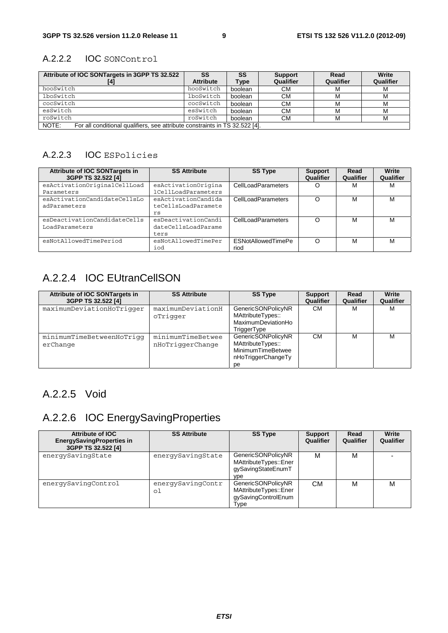#### A.2.2.2 IOC SONControl

| Attribute of IOC SONTargets in 3GPP TS 32.522                                        | SS               | SS      | Support   | Read      | Write     |
|--------------------------------------------------------------------------------------|------------------|---------|-----------|-----------|-----------|
| [4]                                                                                  | <b>Attribute</b> | Type    | Qualifier | Qualifier | Qualifier |
| hooSwitch                                                                            | hooSwitch        | boolean | CМ        | М         | M         |
| lboSwitch                                                                            | lboSwitch        | boolean | CМ        | м         | м         |
| cocSwitch                                                                            | cocSwitch        | boolean | СM        | м         | M         |
| esSwitch                                                                             | esSwitch         | boolean | СM        | м         | M         |
| roSwitch                                                                             | roSwitch         | boolean | СM        | м         | M         |
| NOTE:<br>For all conditional qualifiers, see attribute constraints in TS 32.522 [4]. |                  |         |           |           |           |

#### A.2.2.3 IOC ESPolicies

| Attribute of IOC SONTargets in<br>3GPP TS 32.522 [4] | <b>SS Attribute</b>        | <b>SS Type</b>            | <b>Support</b><br>Qualifier | Read<br>Qualifier | Write<br>Qualifier |
|------------------------------------------------------|----------------------------|---------------------------|-----------------------------|-------------------|--------------------|
| esActivationOriginalCellLoad                         | esActivationOrigina        | CellLoadParameters        |                             | М                 | м                  |
| Parameters                                           | <b>lCellLoadParameters</b> |                           |                             |                   |                    |
| esActivationCandidateCellsLo                         | esActivationCandida        | CellLoadParameters        | ∩                           | M                 | М                  |
| adParameters                                         | teCellsLoadParamete        |                           |                             |                   |                    |
|                                                      | rs                         |                           |                             |                   |                    |
| esDeactivationCandidateCells                         | esDeactivationCandi        | CellLoadParameters        |                             | M                 | м                  |
| LoadParameters                                       | dateCellsLoadParame        |                           |                             |                   |                    |
|                                                      | ters                       |                           |                             |                   |                    |
| esNotAllowedTimePeriod                               | esNotAllowedTimePer        | <b>ESNotAllowedTimePe</b> | $\Omega$                    | М                 | м                  |
|                                                      | iod                        | riod                      |                             |                   |                    |

### A.2.2.4 IOC EUtranCellSON

| Attribute of IOC SONTargets in<br>3GPP TS 32.522 [4] | <b>SS Attribute</b>                   | <b>SS Type</b>                                                                           | <b>Support</b><br>Qualifier | Read<br>Qualifier | Write<br>Qualifier |
|------------------------------------------------------|---------------------------------------|------------------------------------------------------------------------------------------|-----------------------------|-------------------|--------------------|
| maximumDeviationHoTriqqer                            | maximumDeviationH<br>oTrigger         | GenericSONPolicyNR<br>MAttributeTypes::<br>MaximumDeviationHo<br>TriggerType             | CМ                          | М                 | м                  |
| minimumTimeBetweenHoTrigg<br>erChange                | minimumTimeBetwee<br>nHoTriggerChange | GenericSONPolicyNR<br>MAttributeTypes::<br>MinimumTimeBetwee<br>nHoTriggerChangeTy<br>рe | CМ                          | М                 | м                  |

### A.2.2.5 Void

### A.2.2.6 IOC EnergySavingProperties

| <b>Attribute of IOC</b><br><b>EnergySavingProperties in</b><br>3GPP TS 32.522 [4] | <b>SS Attribute</b>           | <b>SS Type</b>                                                             | <b>Support</b><br>Qualifier | Read<br>Qualifier | Write<br>Qualifier |
|-----------------------------------------------------------------------------------|-------------------------------|----------------------------------------------------------------------------|-----------------------------|-------------------|--------------------|
| energySavingState                                                                 | energySavingState             | GenericSONPolicyNR<br>MAttributeTypes::Ener<br>gySavingStateEnumT<br>vpe   | M                           | M                 |                    |
| energySavingControl                                                               | energySavingContr<br>$\Omega$ | GenericSONPolicyNR<br>MAttributeTypes::Ener<br>gySavingControlEnum<br>Type | <b>CM</b>                   | М                 | М                  |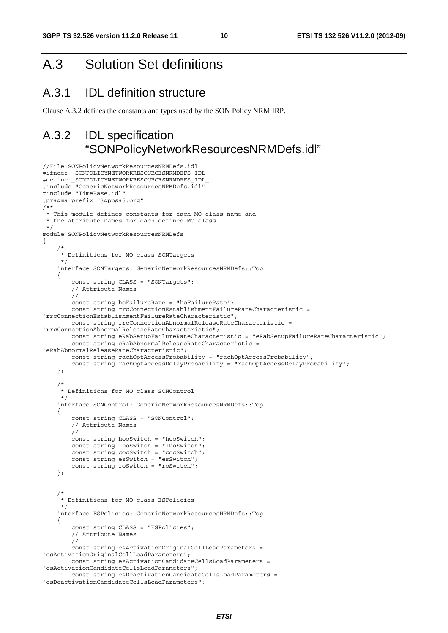### A.3 Solution Set definitions

#### A.3.1 IDL definition structure

Clause A.3.2 defines the constants and types used by the SON Policy NRM IRP.

### A.3.2 IDL specification "SONPolicyNetworkResourcesNRMDefs.idl"

```
//File:SONPolicyNetworkResourcesNRMDefs.idl 
#ifndef _SONPOLICYNETWORKRESOURCESNRMDEFS_IDL_ 
#define _SONPOLICYNETWORKRESOURCESNRMDEFS_IDL_ 
#include "GenericNetworkResourcesNRMDefs.idl" 
#include "TimeBase.idl" 
#pragma prefix "3gppsa5.org" 
/** 
 * This module defines constants for each MO class name and 
  * the attribute names for each defined MO class. 
  */ 
module SONPolicyNetworkResourcesNRMDefs 
{ 
 /* 
      * Definitions for MO class SONTargets 
      */ 
     interface SONTargets: GenericNetworkResourcesNRMDefs::Top 
     { 
         const string CLASS = "SONTargets"; 
         // Attribute Names 
         // 
         const string hoFailureRate = "hoFailureRate"; 
         const string rrcConnectionEstablishmentFailureRateCharacteristic = 
"rrcConnectionEstablishmentFailureRateCharacteristic"; 
        const string rrcConnectionAbnormalReleaseRateCharacteristic = 
"rrcConnectionAbnormalReleaseRateCharacteristic"; 
         const string eRabSetupFailureRateCharacteristic = "eRabSetupFailureRateCharacteristic"; 
         const string eRabAbnormalReleaseRateCharacteristic = 
"eRabAbnormalReleaseRateCharacteristic"; 
         const string rachOptAccessProbability = "rachOptAccessProbability"; 
         const string rachOptAccessDelayProbability = "rachOptAccessDelayProbability"; 
     }; 
     /* 
      * Definitions for MO class SONControl 
      */ 
     interface SONControl: GenericNetworkResourcesNRMDefs::Top 
    \left\{ \right. const string CLASS = "SONControl"; 
         // Attribute Names 
         // 
         const string hooSwitch = "hooSwitch"; 
         const string lboSwitch = "lboSwitch"; 
         const string cocSwitch = "cocSwitch"; 
         const string esSwitch = "esSwitch"; 
         const string roSwitch = "roSwitch"; 
     }; 
     /* 
      * Definitions for MO class ESPolicies 
      */ 
     interface ESPolicies: GenericNetworkResourcesNRMDefs::Top 
     { 
         const string CLASS = "ESPolicies"; 
         // Attribute Names 
         // 
         const string esActivationOriginalCellLoadParameters = 
"esActivationOriginalCellLoadParameters"; 
         const string esActivationCandidateCellsLoadParameters = 
"esActivationCandidateCellsLoadParameters"; 
         const string esDeactivationCandidateCellsLoadParameters = 
"esDeactivationCandidateCellsLoadParameters";
```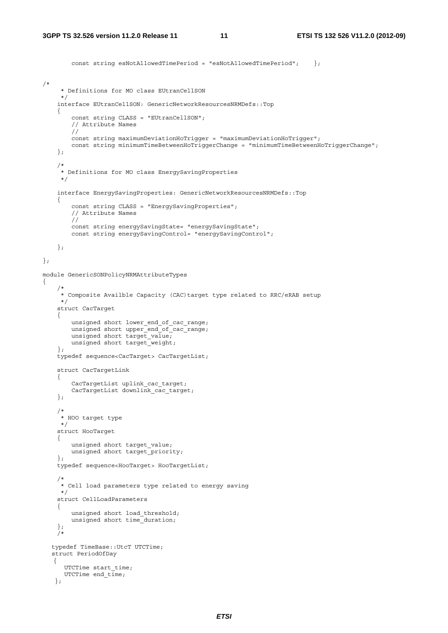const string esNotAllowedTimePeriod = "esNotAllowedTimePeriod"; };

```
/* 
      * Definitions for MO class EUtranCellSON 
      */ 
     interface EUtranCellSON: GenericNetworkResourcesNRMDefs::Top 
     { 
         const string CLASS = "EUtranCellSON"; 
         // Attribute Names 
         // 
         const string maximumDeviationHoTrigger = "maximumDeviationHoTrigger"; 
         const string minimumTimeBetweenHoTriggerChange = "minimumTimeBetweenHoTriggerChange"; 
     }; 
     /* 
      * Definitions for MO class EnergySavingProperties 
      */ 
     interface EnergySavingProperties: GenericNetworkResourcesNRMDefs::Top 
     { 
         const string CLASS = "EnergySavingProperties"; 
         // Attribute Names 
         // 
         const string energySavingState= "energySavingState"; 
         const string energySavingControl= "energySavingControl"; 
     }; 
}; 
module GenericSONPolicyNRMAttributeTypes 
{ 
 /* 
      * Composite Availble Capacity (CAC)target type related to RRC/eRAB setup 
      */ 
     struct CacTarget 
     { 
         unsigned short lower_end_of_cac_range; 
        unsigned short upper end of cac range;
        unsigned short target value;
        unsigned short target_weight;
    }; 
     typedef sequence<CacTarget> CacTargetList; 
     struct CacTargetLink 
     { 
        CacTargetList uplink cac target;
        CacTargetList downlink cac target;
     }; 
     /* 
      * HOO target type 
      */ 
     struct HooTarget 
     { 
        unsigned short target value;
        unsigned short target priority;
     }; 
     typedef sequence<HooTarget> HooTargetList; 
     /* 
      * Cell load parameters type related to energy saving 
      */ 
     struct CellLoadParameters 
     { 
        unsigned short load threshold;
         unsigned short time_duration; 
     }; 
    /* 
  typedef TimeBase::UtcT UTCTime; 
  struct PeriodOfDay 
    { 
      UTCTime start time;
      UTCTime end time:
   };
```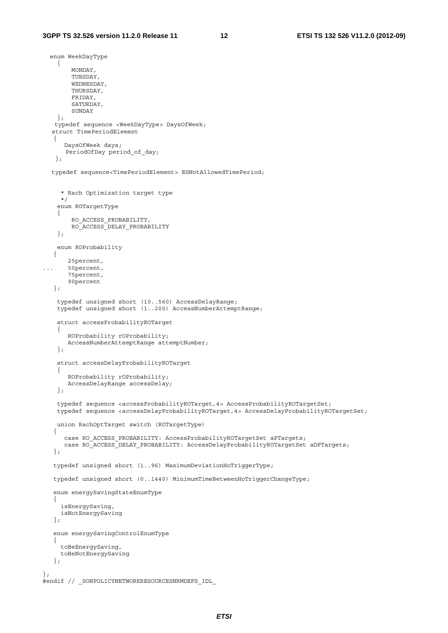enum WeekDayType

```
 { 
         MONDAY, 
        TUESDAY
         WEDNESDAY, 
         THURSDAY, 
         FRIDAY, 
        SATURDAY,
        SUNDAY
     }; 
   typedef sequence <WeekDayType> DaysOfWeek; 
  struct TimePeriodElement 
    { 
       DaysOfWeek days; 
      PeriodOfDay period of day;
    }; 
  typedef sequence<TimePeriodElement> ESNotAllowedTimePeriod; 
      * Rach Optimization target type 
      */ 
     enum ROTargetType 
    \{ RO_ACCESS_PROBABILITY, 
         RO_ACCESS_DELAY_PROBABILITY 
     }; 
     enum ROProbability 
    { 
        25percent, 
... 50percent, 
        75percent, 
        90percent 
    }; 
     typedef unsigned short (10..560) AccessDelayRange; 
     typedef unsigned short (1..200) AccessNumberAttemptRange; 
     struct accessProbabilityROTarget 
     { 
        ROProbability rOProbability; 
        AccessNumberAttemptRange attemptNumber; 
     }; 
     struct accessDelayProbabilityROTarget 
     { 
        ROProbability rOProbability; 
        AccessDelayRange accessDelay; 
     }; 
     typedef sequence <accessProbabilityROTarget,4> AccessProbabilityROTargetSet; 
     typedef sequence <accessDelayProbabilityROTarget,4> AccessDelayProbabilityROTargetSet; 
     union RachOptTarget switch (ROTargetType) 
    { 
       case RO_ACCESS_PROBABILITY: AccessProbabilityROTargetSet aPTargets; 
      case RO_ACCESS_DELAY_PROBABILITY: AccessDelayProbabilityROTargetSet aDPTargets;
    }; 
    typedef unsigned short (1..96) MaximumDeviationHoTriggerType; 
    typedef unsigned short (0..1440) MinimumTimeBetweenHoTriggerChangeType; 
    enum energySavingStateEnumType 
    { 
      isEnergySaving, 
      isNotEnergySaving 
    }; 
    enum energySavingControlEnumType 
    { 
      toBeEnergySaving, 
     toBeNotEnergySaving 
    }; 
}; 
#endif // _SONPOLICYNETWORKRESOURCESNRMDEFS_IDL_
```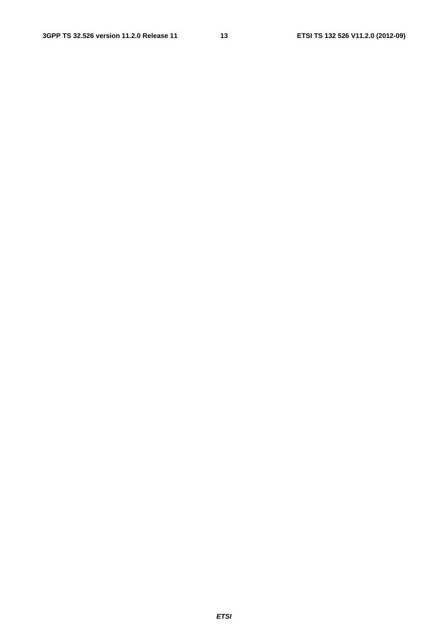*ETSI*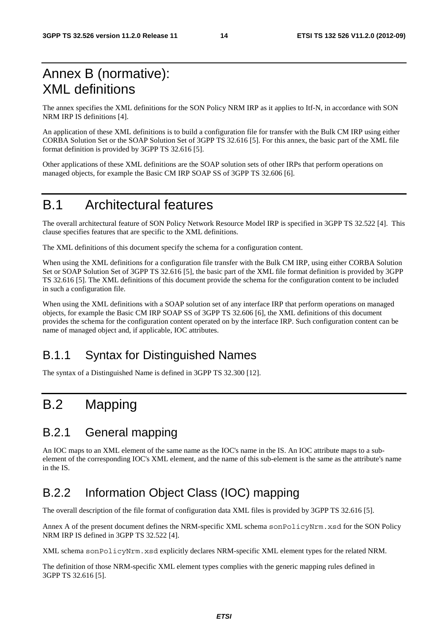### Annex B (normative): XML definitions

The annex specifies the XML definitions for the SON Policy NRM IRP as it applies to Itf-N, in accordance with SON NRM IRP IS definitions [4].

An application of these XML definitions is to build a configuration file for transfer with the Bulk CM IRP using either CORBA Solution Set or the SOAP Solution Set of 3GPP TS 32.616 [5]. For this annex, the basic part of the XML file format definition is provided by 3GPP TS 32.616 [5].

Other applications of these XML definitions are the SOAP solution sets of other IRPs that perform operations on managed objects, for example the Basic CM IRP SOAP SS of 3GPP TS 32.606 [6].

### B.1 Architectural features

The overall architectural feature of SON Policy Network Resource Model IRP is specified in 3GPP TS 32.522 [4]. This clause specifies features that are specific to the XML definitions.

The XML definitions of this document specify the schema for a configuration content.

When using the XML definitions for a configuration file transfer with the Bulk CM IRP, using either CORBA Solution Set or SOAP Solution Set of 3GPP TS 32.616 [5], the basic part of the XML file format definition is provided by 3GPP TS 32.616 [5]. The XML definitions of this document provide the schema for the configuration content to be included in such a configuration file.

When using the XML definitions with a SOAP solution set of any interface IRP that perform operations on managed objects, for example the Basic CM IRP SOAP SS of 3GPP TS 32.606 [6], the XML definitions of this document provides the schema for the configuration content operated on by the interface IRP. Such configuration content can be name of managed object and, if applicable, IOC attributes.

### B.1.1 Syntax for Distinguished Names

The syntax of a Distinguished Name is defined in 3GPP TS 32.300 [12].

# B.2 Mapping

### B.2.1 General mapping

An IOC maps to an XML element of the same name as the IOC's name in the IS. An IOC attribute maps to a subelement of the corresponding IOC's XML element, and the name of this sub-element is the same as the attribute's name in the IS.

### B.2.2 Information Object Class (IOC) mapping

The overall description of the file format of configuration data XML files is provided by 3GPP TS 32.616 [5].

Annex A of the present document defines the NRM-specific XML schema sonPolicyNrm.xsd for the SON Policy NRM IRP IS defined in 3GPP TS 32.522 [4].

XML schema sonPolicyNrm.xsd explicitly declares NRM-specific XML element types for the related NRM.

The definition of those NRM-specific XML element types complies with the generic mapping rules defined in 3GPP TS 32.616 [5].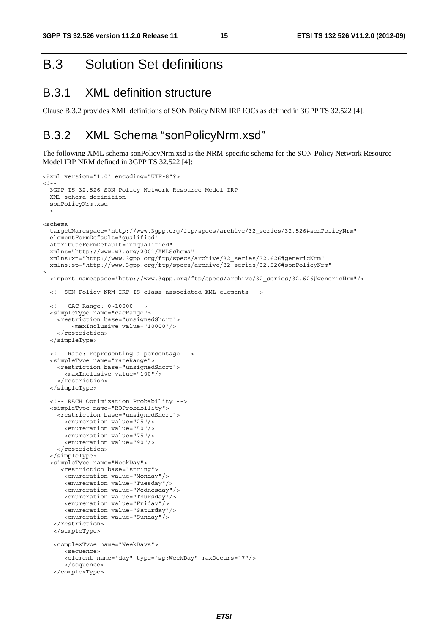### B.3 Solution Set definitions

#### B.3.1 XML definition structure

Clause B.3.2 provides XML definitions of SON Policy NRM IRP IOCs as defined in 3GPP TS 32.522 [4].

### B.3.2 XML Schema "sonPolicyNrm.xsd"

The following XML schema sonPolicyNrm.xsd is the NRM-specific schema for the SON Policy Network Resource Model IRP NRM defined in 3GPP TS 32.522 [4]:

```
<?xml version="1.0" encoding="UTF-8"?> 
< ! - 1 3GPP TS 32.526 SON Policy Network Resource Model IRP 
  XML schema definition 
   sonPolicyNrm.xsd 
--> 
<schema 
   targetNamespace="http://www.3gpp.org/ftp/specs/archive/32_series/32.526#sonPolicyNrm" 
   elementFormDefault="qualified" 
   attributeFormDefault="unqualified" 
   xmlns="http://www.w3.org/2001/XMLSchema" 
   xmlns:xn="http://www.3gpp.org/ftp/specs/archive/32_series/32.626#genericNrm" 
   xmlns:sp="http://www.3gpp.org/ftp/specs/archive/32_series/32.526#sonPolicyNrm" 
> 
   <import namespace="http://www.3gpp.org/ftp/specs/archive/32_series/32.626#genericNrm"/> 
   <!--SON Policy NRM IRP IS class associated XML elements --> 
   <!-- CAC Range: 0~10000 --> 
   <simpleType name="cacRange"> 
     <restriction base="unsignedShort"> 
         <maxInclusive value="10000"/> 
     </restriction> 
   </simpleType> 
   <!-- Rate: representing a percentage --> 
   <simpleType name="rateRange"> 
     <restriction base="unsignedShort"> 
       <maxInclusive value="100"/> 
     </restriction> 
   </simpleType> 
   <!-- RACH Optimization Probability --> 
   <simpleType name="ROProbability"> 
     <restriction base="unsignedShort"> 
       <enumeration value="25"/> 
       <enumeration value="50"/> 
       <enumeration value="75"/> 
       <enumeration value="90"/> 
     </restriction> 
   </simpleType> 
   <simpleType name="WeekDay"> 
      <restriction base="string"> 
       <enumeration value="Monday"/> 
       <enumeration value="Tuesday"/> 
       <enumeration value="Wednesday"/> 
       <enumeration value="Thursday"/> 
       <enumeration value="Friday"/> 
       <enumeration value="Saturday"/> 
       <enumeration value="Sunday"/> 
    </restriction> 
    </simpleType> 
    <complexType name="WeekDays"> 
       <sequence> 
       <element name="day" type="sp:WeekDay" maxOccurs="7"/> 
       </sequence> 
    </complexType>
```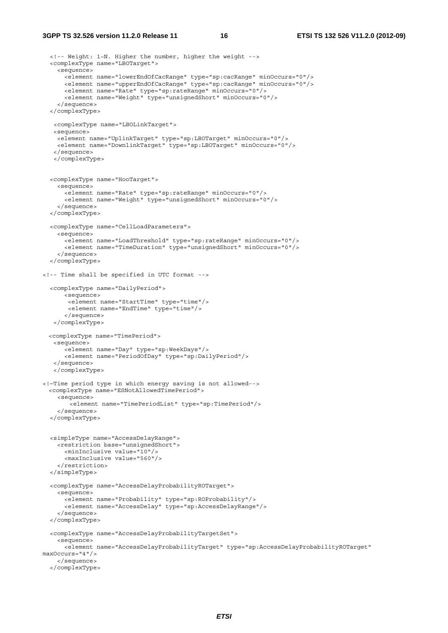```
 <!-- Weight: 1~N. Higher the number, higher the weight --> 
   <complexType name="LBOTarget"> 
     <sequence> 
       <element name="lowerEndOfCacRange" type="sp:cacRange" minOccurs="0"/> 
       <element name="upperEndOfCacRange" type="sp:cacRange" minOccurs="0"/> 
 <element name="Rate" type="sp:rateRange" minOccurs="0"/> 
 <element name="Weight" type="unsignedShort" minOccurs="0"/> 
     </sequence> 
   </complexType> 
    <complexType name="LBOLinkTarget"> 
    <sequence> 
     <element name="UplinkTarget" type="sp:LBOTarget" minOccurs="0"/> 
     <element name="DownlinkTarget" type="sp:LBOTarget" minOccurs="0"/> 
    </sequence> 
    </complexType> 
   <complexType name="HooTarget"> 
     <sequence> 
       <element name="Rate" type="sp:rateRange" minOccurs="0"/> 
       <element name="Weight" type="unsignedShort" minOccurs="0"/> 
     </sequence> 
   </complexType> 
   <complexType name="CellLoadParameters"> 
     <sequence> 
       <element name="LoadThreshold" type="sp:rateRange" minOccurs="0"/> 
       <element name="TimeDuration" type="unsignedShort" minOccurs="0"/> 
    \epsilon/sequences
   </complexType> 
<!-- Time shall be specified in UTC format --> 
   <complexType name="DailyPeriod"> 
       <sequence> 
        <element name="StartTime" type="time"/> 
        <element name="EndTime" type="time"/> 
       </sequence> 
    </complexType> 
  <complexType name="TimePeriod"> 
    <sequence> 
       <element name="Day" type="sp:WeekDays"/> 
       <element name="PeriodOfDay" type="sp:DailyPeriod"/> 
    </sequence> 
    </complexType> 
<!—Time period type in which energy saving is not allowed--> 
 <complexType name="ESNotAllowedTimePeriod"> 
    <sequence> 
        <element name="TimePeriodList" type="sp:TimePeriod"/> 
     </sequence> 
   </complexType> 
   <simpleType name="AccessDelayRange"> 
     <restriction base="unsignedShort"> 
       <minInclusive value="10"/> 
       <maxInclusive value="560"/> 
     </restriction> 
   </simpleType> 
   <complexType name="AccessDelayProbabilityROTarget"> 
     <sequence> 
       <element name="Probability" type="sp:ROProbability"/> 
       <element name="AccessDelay" type="sp:AccessDelayRange"/> 
     </sequence> 
   </complexType> 
   <complexType name="AccessDelayProbabilityTargetSet"> 
     <sequence> 
      <element name="AccessDelayProbabilityTarget" type="sp:AccessDelayProbabilityROTarget" 
maxOccurs="4"/> 
     </sequence> 
   </complexType>
```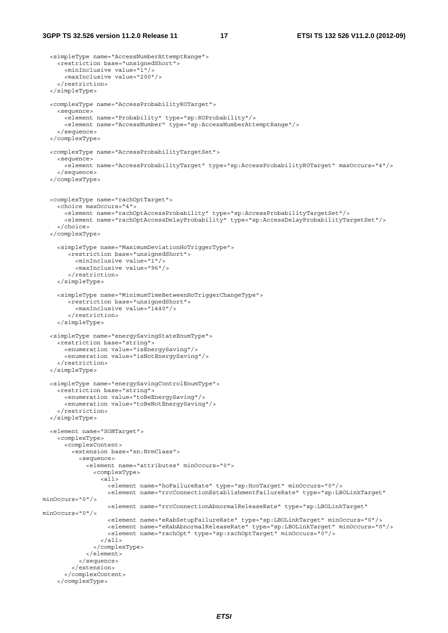```
 <simpleType name="AccessNumberAttemptRange"> 
     <restriction base="unsignedShort"> 
       <minInclusive value="1"/> 
       <maxInclusive value="200"/> 
     </restriction> 
   </simpleType> 
   <complexType name="AccessProbabilityROTarget"> 
     <sequence> 
       <element name="Probability" type="sp:ROProbability"/> 
       <element name="AccessNumber" type="sp:AccessNumberAttemptRange"/> 
     </sequence> 
   </complexType> 
   <complexType name="AccessProbabilityTargetSet"> 
     <sequence> 
       <element name="AccessProbabilityTarget" type="sp:AccessProbabilityROTarget" maxOccurs="4"/> 
     </sequence> 
   </complexType> 
   <complexType name="rachOptTarget"> 
     <choice maxOccurs="4"> 
       <element name="rachOptAccessProbability" type="sp:AccessProbabilityTargetSet"/> 
       <element name="rachOptAccessDelayProbability" type="sp:AccessDelayProbabilityTargetSet"/> 
     </choice> 
   </complexType> 
     <simpleType name="MaximumDeviationHoTriggerType"> 
        <restriction base="unsignedShort"> 
          <minInclusive value="1"/> 
          <maxInclusive value="96"/> 
        </restriction> 
     </simpleType> 
     <simpleType name="MinimumTimeBetweenHoTriggerChangeType"> 
        <restriction base="unsignedShort"> 
          <maxInclusive value="1440"/> 
        </restriction> 
     </simpleType> 
   <simpleType name="energySavingStateEnumType"> 
     <restriction base="string"> 
       <enumeration value="isEnergySaving"/> 
       <enumeration value="isNotEnergySaving"/> 
     </restriction> 
   </simpleType> 
   <simpleType name="energySavingControlEnumType"> 
     <restriction base="string"> 
       <enumeration value="toBeEnergySaving"/> 
       <enumeration value="toBeNotEnergySaving"/> 
     </restriction> 
   </simpleType> 
   <element name="SONTarget"> 
     <complexType> 
       <complexContent> 
         <extension base="xn:NrmClass"> 
           <sequence> 
              <element name="attributes" minOccurs="0"> 
                <complexType> 
                  <all> 
                    <element name="hoFailureRate" type="sp:HooTarget" minOccurs="0"/> 
                    <element name="rrcConnectionEstablishmentFailureRate" type="sp:LBOLinkTarget" 
minOccurs="0"/> 
                    <element name="rrcConnectionAbnormalReleaseRate" type="sp:LBOLinkTarget" 
minOccurs="0"/> 
                    <element name="eRabSetupFailureRate" type="sp:LBOLinkTarget" minOccurs="0"/> 
                    <element name="eRabAbnormalReleaseRate" type="sp:LBOLinkTarget" minOccurs="0"/> 
                    <element name="rachOpt" type="sp:rachOptTarget" minOccurs="0"/> 
                  </all> 
                </complexType> 
              </element> 
           </sequence> 
         </extension> 
       </complexContent> 
     </complexType>
```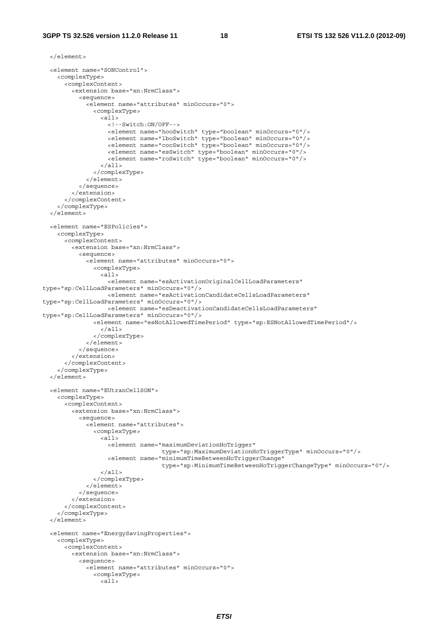</element>

```
 <element name="SONControl"> 
     <complexType> 
       <complexContent> 
         <extension base="xn:NrmClass"> 
            <sequence> 
              <element name="attributes" minOccurs="0"> 
                <complexType> 
                  <all> 
                    <!--Switch:ON/OFF--> 
 <element name="hooSwitch" type="boolean" minOccurs="0"/> 
 <element name="lboSwitch" type="boolean" minOccurs="0"/> 
                     <element name="cocSwitch" type="boolean" minOccurs="0"/> 
                     <element name="esSwitch" type="boolean" minOccurs="0"/> 
                     <element name="roSwitch" type="boolean" minOccurs="0"/> 
                 \langleall\rangle </complexType> 
              </element> 
            </sequence> 
          </extension> 
       </complexContent> 
     </complexType> 
   </element> 
   <element name="ESPolicies"> 
     <complexType> 
       <complexContent> 
          <extension base="xn:NrmClass"> 
            <sequence> 
              <element name="attributes" minOccurs="0"> 
                <complexType> 
                 \overline{all} <element name="esActivationOriginalCellLoadParameters" 
type="sp:CellLoadParameters" minOccurs="0"/> 
                    <element name="esActivationCandidateCellsLoadParameters" 
type="sp:CellLoadParameters" minOccurs="0"/> 
                    <element name="esDeactivationCandidateCellsLoadParameters" 
type="sp:CellLoadParameters" minOccurs="0"/> 
                <element name="esNotAllowedTimePeriod" type="sp:ESNotAllowedTimePeriod"/> 
                 \langleall\rangle </complexType> 
              </element> 
            </sequence> 
          </extension> 
       </complexContent> 
     </complexType> 
   </element> 
   <element name="EUtranCellSON"> 
     <complexType> 
       <complexContent> 
          <extension base="xn:NrmClass"> 
            <sequence> 
              <element name="attributes"> 
                <complexType> 
                 <sub>all></sub></sub>
                    <element name="maximumDeviationHoTrigger" 
                                     type="sp:MaximumDeviationHoTriggerType" minOccurs="0"/> 
                     <element name="minimumTimeBetweenHoTriggerChange" 
                                    type="sp:MinimumTimeBetweenHoTriggerChangeType" minOccurs="0"/> 
                  </all> 
                </complexType> 
              </element> 
            </sequence> 
          </extension> 
       </complexContent> 
     </complexType> 
   </element> 
   <element name="EnergySavingProperties"> 
     <complexType> 
       <complexContent> 
          <extension base="xn:NrmClass"> 
            <sequence> 
              <element name="attributes" minOccurs="0"> 
                <complexType> 
                 \overline{c}all\overline{c}
```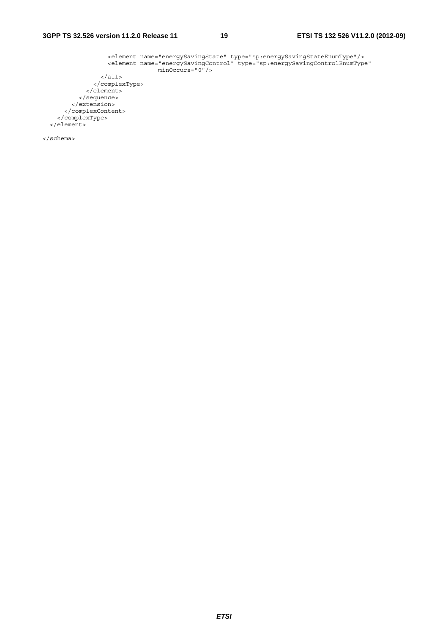```
 <element name="energySavingState" type="sp:energySavingStateEnumType"/> 
 <element name="energySavingControl" type="sp:energySavingControlEnumType" 
                          minOccurs="0"/>
              </all> 
            </complexType>
```

```
 </element> 
          </sequence> 
       </extension> 
     </complexContent> 
   </complexType> 
 </element>
```
</schema>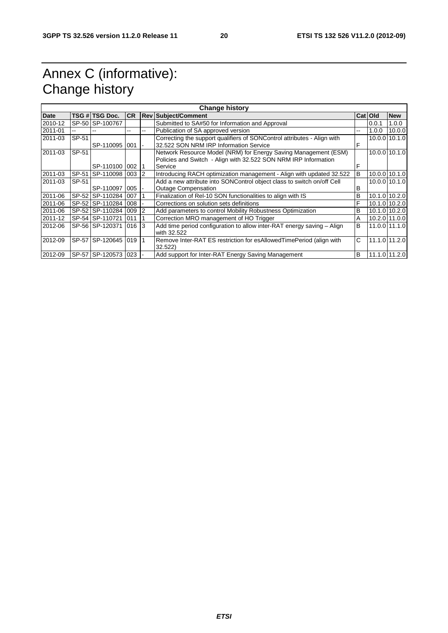## Annex C (informative): Change history

| <b>Change history</b> |       |                     |           |                |                                                                                       |   |           |               |
|-----------------------|-------|---------------------|-----------|----------------|---------------------------------------------------------------------------------------|---|-----------|---------------|
| <b>Date</b>           |       | TSG # TSG Doc.      | <b>CR</b> |                | <b>Rev Subject/Comment</b>                                                            |   | Cat   Old | <b>New</b>    |
| 2010-12               |       | SP-50 SP-100767     |           |                | Submitted to SA#50 for Information and Approval                                       |   | 0.0.1     | 1.0.0         |
| 2011-01               |       |                     | --        |                | Publication of SA approved version                                                    |   | 1.0.0     | 10.0.0        |
| 2011-03               | SP-51 |                     |           |                | Correcting the support qualifiers of SONControl attributes - Align with               |   |           | 10.0.0 10.1.0 |
|                       |       | SP-110095 1001      |           |                | 32.522 SON NRM IRP Information Service                                                | F |           |               |
| 2011-03               | SP-51 |                     |           |                | Network Resource Model (NRM) for Energy Saving Management (ESM)                       |   |           | 10.0.0 10.1.0 |
|                       |       |                     |           |                | Policies and Switch - Align with 32.522 SON NRM IRP Information                       |   |           |               |
|                       |       | SP-110100 1002      |           |                | Service                                                                               | F |           |               |
| 2011-03               |       | SP-51 SP-110098 003 |           | $\overline{2}$ | Introducing RACH optimization management - Align with updated 32.522                  | B |           | 10.0.0 10.1.0 |
| 2011-03               | SP-51 |                     |           |                | Add a new attribute into SONControl object class to switch on/off Cell                |   |           | 10.0.0 10.1.0 |
|                       |       | SP-110097           | 005       |                | <b>Outage Compensation</b>                                                            | в |           |               |
| 2011-06               |       | SP-52 SP-110284 007 |           |                | Finalization of Rel-10 SON functionalities to align with IS                           | В |           | 10.1.0 10.2.0 |
| 2011-06               |       | SP-52 SP-110284 008 |           |                | Corrections on solution sets definitions                                              | F |           | 10.1.0 10.2.0 |
| 2011-06               |       | SP-52 SP-110284 009 |           | $\overline{2}$ | Add parameters to control Mobility Robustness Optimization                            | В |           | 10.1.0 10.2.0 |
| 2011-12               |       | SP-54 SP-110721     | 011       |                | Correction MRO management of HO Trigger                                               | А |           | 10.2.0 11.0.0 |
| 2012-06               |       | SP-56 SP-120371     | 016       | $\overline{3}$ | Add time period configuration to allow inter-RAT energy saving - Align<br>with 32.522 | B |           | 11.0.0 11.1.0 |
| 2012-09               | SP-57 | SP-120645           | 019       |                | Remove Inter-RAT ES restriction for esAllowedTimePeriod (align with<br>32.522         | C |           | 11.1.0 11.2.0 |
| 2012-09               |       | SP-57 SP-120573 023 |           |                | Add support for Inter-RAT Energy Saving Management                                    | B |           | 11.1.0 11.2.0 |